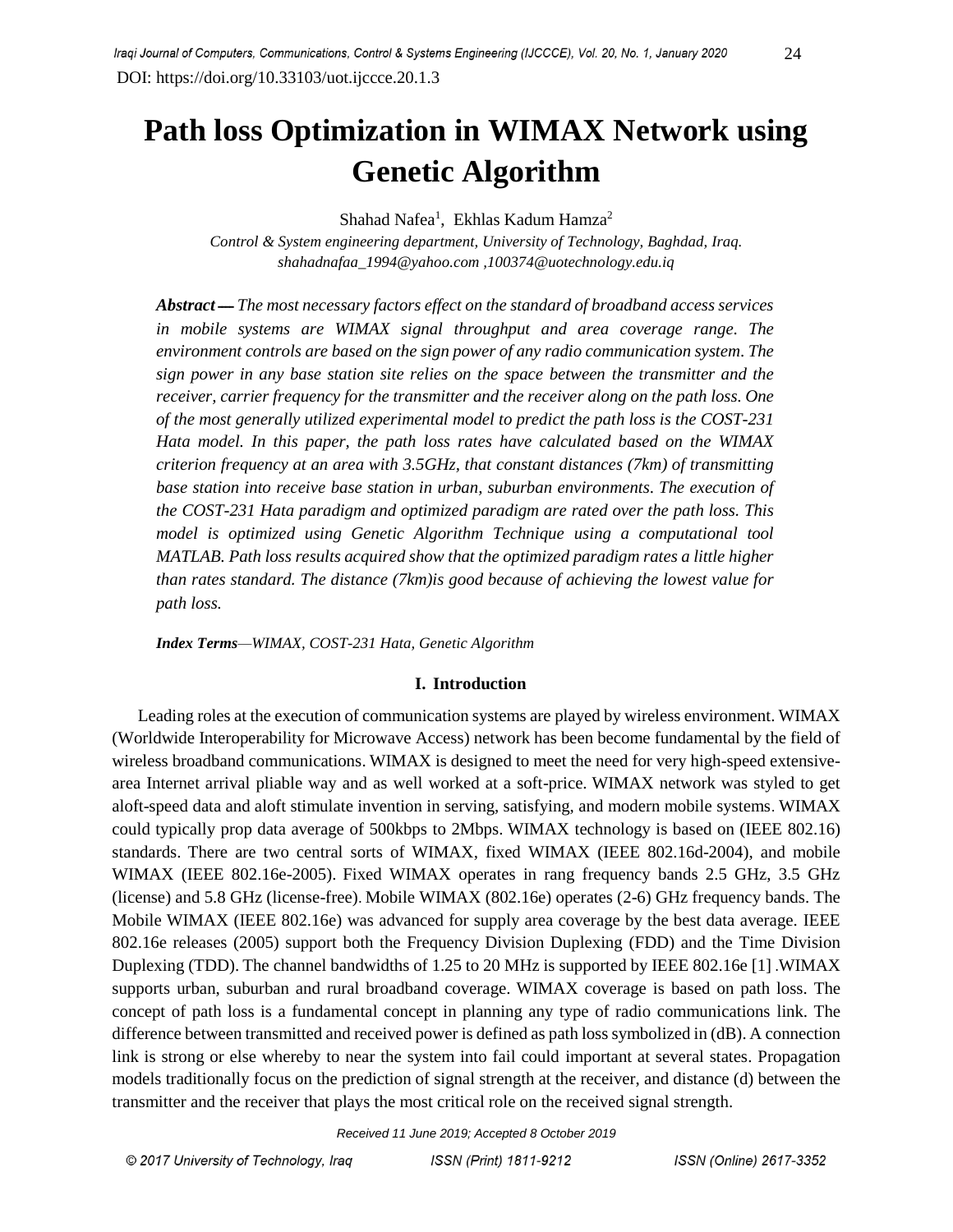# **Path loss Optimization in WIMAX Network using Genetic Algorithm**

Shahad Nafea<sup>1</sup>, Ekhlas Kadum Hamza<sup>2</sup>

*Control & System engineering department, University of Technology, Baghdad, Iraq. shahadnafaa\_1994@yahoo.com [,100374@uotechnology.edu.iq](mailto:100374@uotechnology.edu.iq)*

*Abstract* ــــ *The most necessary factors effect on the standard of broadband access services in mobile systems are WIMAX signal throughput and area coverage range. The environment controls are based on the sign power of any radio communication system. The sign power in any base station site relies on the space between the transmitter and the receiver, carrier frequency for the transmitter and the receiver along on the path loss. One of the most generally utilized experimental model to predict the path loss is the COST-231 Hata model. In this paper, the path loss rates have calculated based on the WIMAX criterion frequency at an area with 3.5GHz, that constant distances (7km) of transmitting base station into receive base station in urban, suburban environments. The execution of the COST-231 Hata paradigm and optimized paradigm are rated over the path loss. This model is optimized using Genetic Algorithm Technique using a computational tool MATLAB. Path loss results acquired show that the optimized paradigm rates a little higher than rates standard. The distance (7km)is good because of achieving the lowest value for path loss.*

*Index Terms—WIMAX, COST-231 Hata, Genetic Algorithm*

#### **I. Introduction**

 Leading roles at the execution of communication systems are played by wireless environment. WIMAX (Worldwide Interoperability for Microwave Access) network has been become fundamental by the field of wireless broadband communications. WIMAX is designed to meet the need for very high-speed extensivearea Internet arrival pliable way and as well worked at a soft-price. WIMAX network was styled to get aloft-speed data and aloft stimulate invention in serving, satisfying, and modern mobile systems. WIMAX could typically prop data average of 500kbps to 2Mbps. WIMAX technology is based on (IEEE 802.16) standards. There are two central sorts of WIMAX, fixed WIMAX (IEEE 802.16d-2004), and mobile WIMAX (IEEE 802.16e-2005). Fixed WIMAX operates in rang frequency bands 2.5 GHz, 3.5 GHz (license) and 5.8 GHz (license-free). Mobile WIMAX (802.16e) operates (2-6) GHz frequency bands. The Mobile WIMAX (IEEE 802.16e) was advanced for supply area coverage by the best data average. IEEE 802.16e releases (2005) support both the Frequency Division Duplexing (FDD) and the Time Division Duplexing (TDD). The channel bandwidths of 1.25 to 20 MHz is supported by IEEE 802.16e [1] .WIMAX supports urban, suburban and rural broadband coverage. WIMAX coverage is based on path loss. The concept of path loss is a fundamental concept in planning any type of radio communications link. The difference between transmitted and received power is defined as path loss symbolized in (dB). A connection link is strong or else whereby to near the system into fail could important at several states. Propagation models traditionally focus on the prediction of signal strength at the receiver, and distance (d) between the transmitter and the receiver that plays the most critical role on the received signal strength.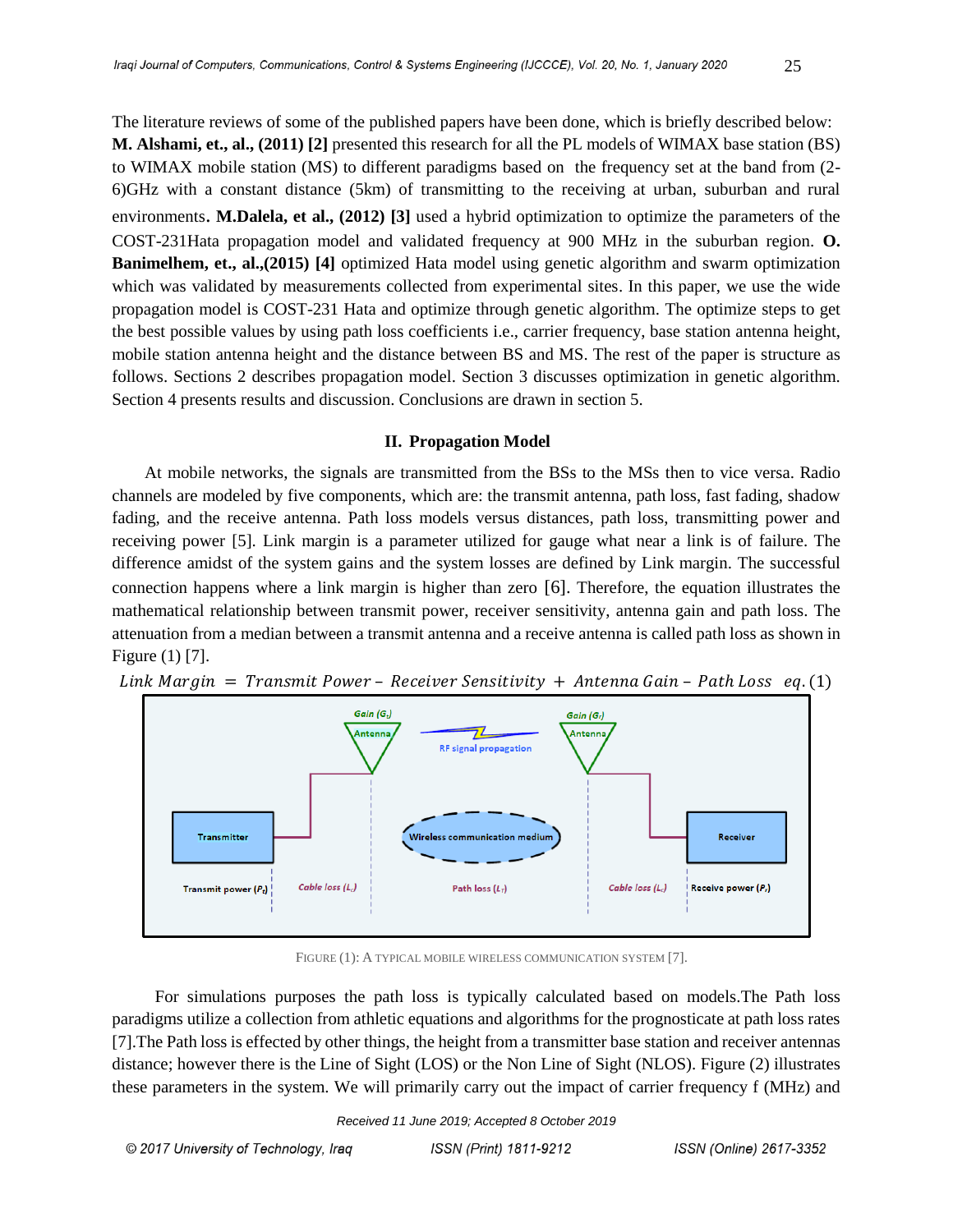The literature reviews of some of the published papers have been done, which is briefly described below: **M. Alshami, et., al., (2011) [2]** presented this research for all the PL models of WIMAX base station (BS) to WIMAX mobile station (MS) to different paradigms based on the frequency set at the band from (2- 6)GHz with a constant distance (5km) of transmitting to the receiving at urban, suburban and rural environments. **M.Dalela, et al., (2012) [3]** used a hybrid optimization to optimize the parameters of the COST-231Hata propagation model and validated frequency at 900 MHz in the suburban region. **O. Banimelhem, et., al.,(2015) [4]** optimized Hata model using genetic algorithm and swarm optimization which was validated by measurements collected from experimental sites. In this paper, we use the wide propagation model is COST-231 Hata and optimize through genetic algorithm. The optimize steps to get the best possible values by using path loss coefficients i.e., carrier frequency, base station antenna height, mobile station antenna height and the distance between BS and MS. The rest of the paper is structure as follows. Sections 2 describes propagation model. Section 3 discusses optimization in genetic algorithm. Section 4 presents results and discussion. Conclusions are drawn in section 5.

### **II. Propagation Model**

 At mobile networks, the signals are transmitted from the BSs to the MSs then to vice versa. Radio channels are modeled by five components, which are: the transmit antenna, path loss, fast fading, shadow fading, and the receive antenna. Path loss models versus distances, path loss, transmitting power and receiving power [5]. Link margin is a parameter utilized for gauge what near a link is of failure. The difference amidst of the system gains and the system losses are defined by Link margin. The successful connection happens where a link margin is higher than zero [6]. Therefore, the equation illustrates the mathematical relationship between transmit power, receiver sensitivity, antenna gain and path loss. The attenuation from a median between a transmit antenna and a receive antenna is called path loss as shown in Figure (1) [7].



Link Margin = Transmit Power - Receiver Sensitivity + Antenna Gain - Path Loss eq. (1)

FIGURE (1): A TYPICAL MOBILE WIRELESS COMMUNICATION SYSTEM [7].

 For simulations purposes the path loss is typically calculated based on models.The Path loss paradigms utilize a collection from athletic equations and algorithms for the prognosticate at path loss rates [7].The Path loss is effected by other things, the height from a transmitter base station and receiver antennas distance; however there is the Line of Sight (LOS) or the Non Line of Sight (NLOS). Figure (2) illustrates these parameters in the system. We will primarily carry out the impact of carrier frequency f (MHz) and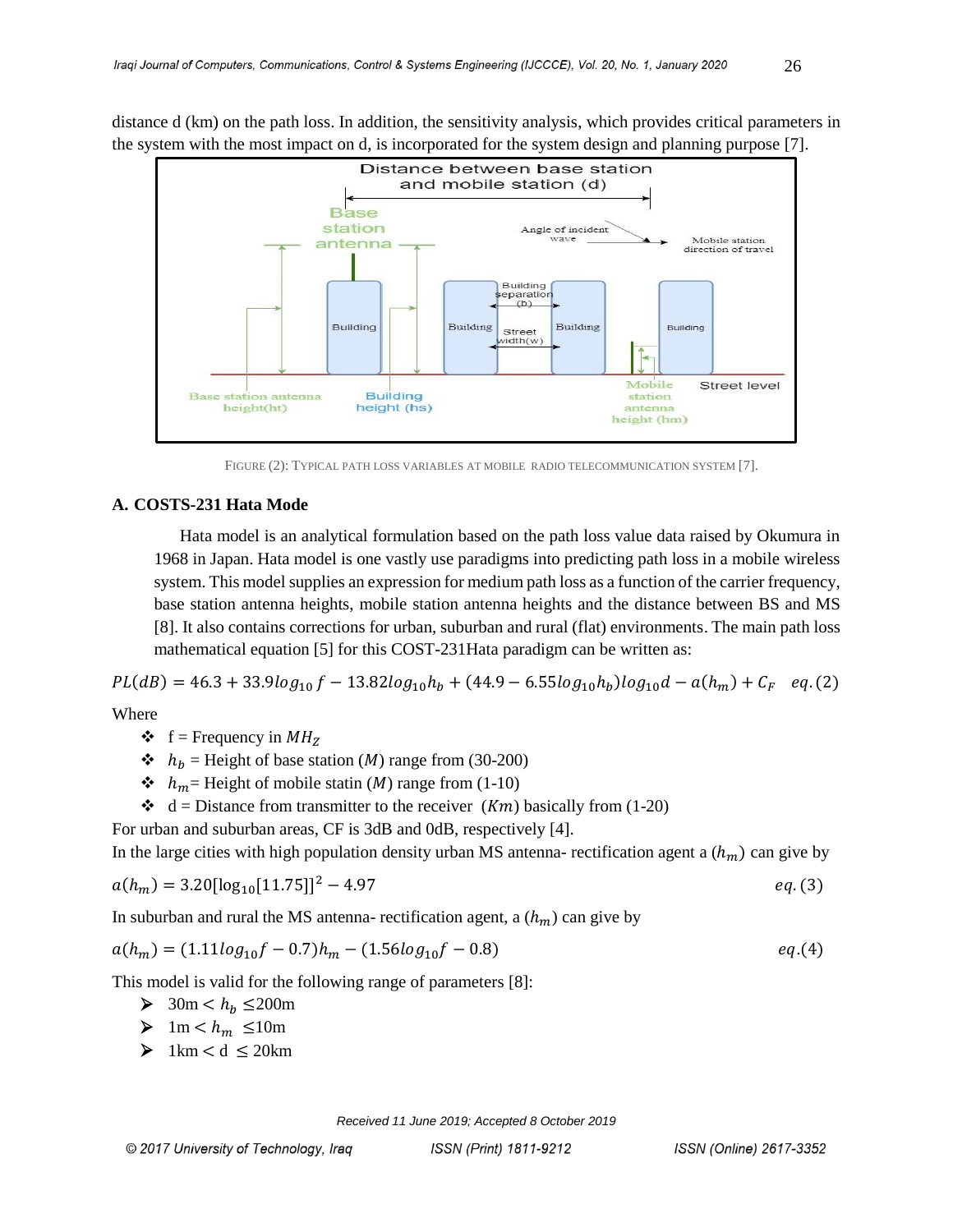distance d (km) on the path loss. In addition, the sensitivity analysis, which provides critical parameters in the system with the most impact on d, is incorporated for the system design and planning purpose [7].



FIGURE (2): TYPICAL PATH LOSS VARIABLES AT MOBILE RADIO TELECOMMUNICATION SYSTEM [7].

### **A. COSTS-231 Hata Mode**

 Hata model is an analytical formulation based on the path loss value data raised by Okumura in 1968 in Japan. Hata model is one vastly use paradigms into predicting path loss in a mobile wireless system. This model supplies an expression for medium path loss as a function of the carrier frequency, base station antenna heights, mobile station antenna heights and the distance between BS and MS [8]. It also contains corrections for urban, suburban and rural (flat) environments. The main path loss mathematical equation [5] for this COST-231Hata paradigm can be written as:

 $PL(dB) = 46.3 + 33.9log_{10}f - 13.82log_{10}h_b + (44.9 - 6.55log_{10}h_b)log_{10}d - a(h_m) + C_F$  eq.(2)

Where

- $\bullet$  f = Frequency in  $MH_Z$
- $\cdot \cdot h_h$  = Height of base station (*M*) range from (30-200)
- $\cdot \cdot h_m$  Height of mobile statin (*M*) range from (1-10)
- $\triangleleft$  d = Distance from transmitter to the receiver (*Km*) basically from (1-20)

For urban and suburban areas, CF is 3dB and 0dB, respectively [4].

In the large cities with high population density urban MS antenna- rectification agent a  $(h_m)$  can give by

$$
a(h_m) = 3.20[\log_{10}[11.75]]^2 - 4.97
$$

In suburban and rural the MS antenna- rectification agent, a  $(h_m)$  can give by

$$
a(h_m) = (1.11log_{10}f - 0.7)h_m - (1.56log_{10}f - 0.8) \qquad eq.(4)
$$

This model is valid for the following range of parameters [8]:

- $\triangleright$  30m <  $h_h$  ≤200m
- $\triangleright$  1m <  $h_m \leq 10$ m
- $\geq 1 \text{km} < d \leq 20 \text{km}$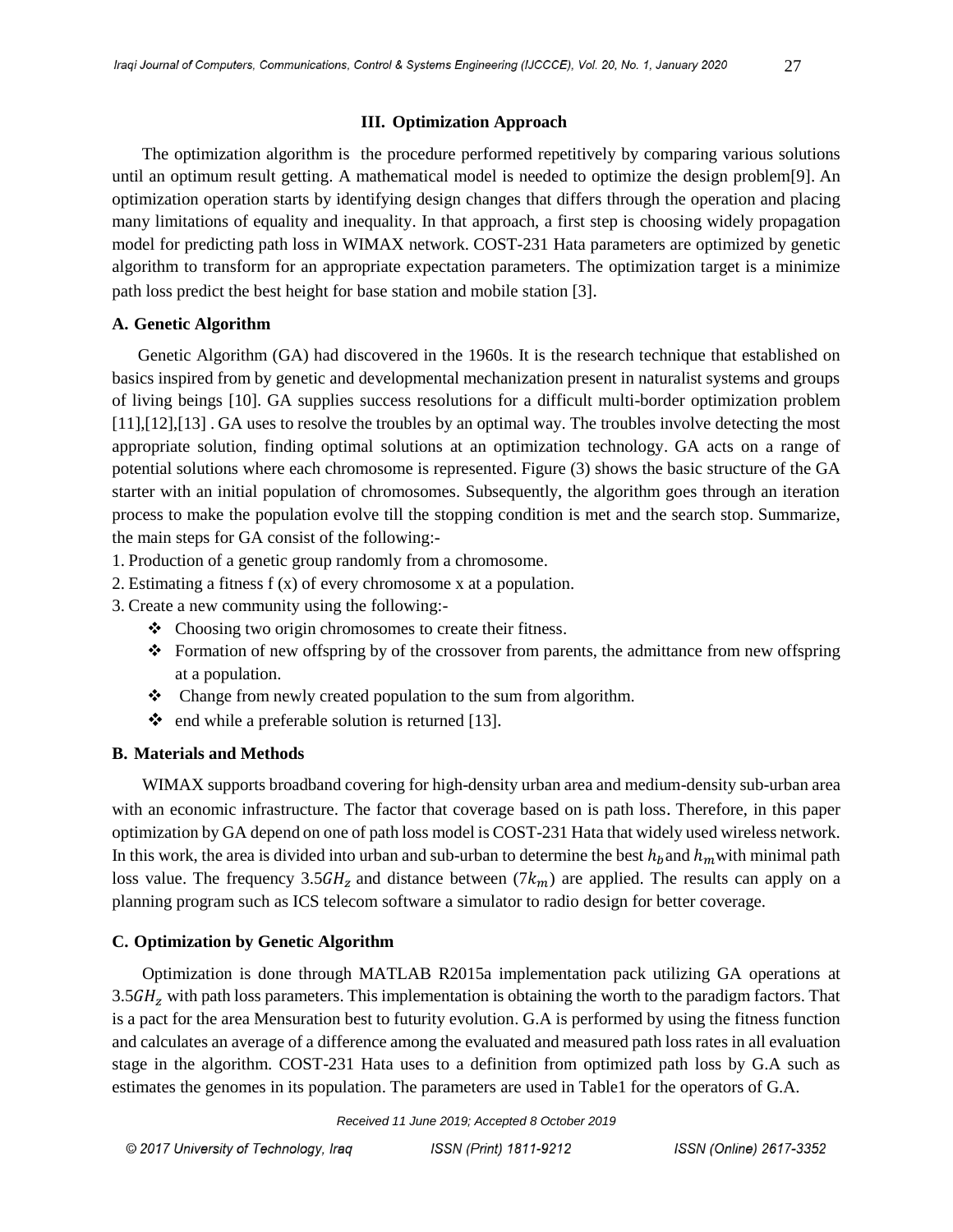The optimization algorithm is the procedure performed repetitively by comparing various solutions until an optimum result getting. A mathematical model is needed to optimize the design problem[9]. An optimization operation starts by identifying design changes that differs through the operation and placing many limitations of equality and inequality. In that approach, a first step is choosing widely propagation model for predicting path loss in WIMAX network. COST-231 Hata parameters are optimized by genetic algorithm to transform for an appropriate expectation parameters. The optimization target is a minimize path loss predict the best height for base station and mobile station [3].

## **A. Genetic Algorithm**

 Genetic Algorithm (GA) had discovered in the 1960s. It is the research technique that established on basics inspired from by genetic and developmental mechanization present in naturalist systems and groups of living beings [10]. GA supplies success resolutions for a difficult multi-border optimization problem [11],[12],[13] . GA uses to resolve the troubles by an optimal way. The troubles involve detecting the most appropriate solution, finding optimal solutions at an optimization technology. GA acts on a range of potential solutions where each chromosome is represented. Figure (3) shows the basic structure of the GA starter with an initial population of chromosomes. Subsequently, the algorithm goes through an iteration process to make the population evolve till the stopping condition is met and the search stop. Summarize, the main steps for GA consist of the following:-

1. Production of a genetic group randomly from a chromosome.

- 2. Estimating a fitness f (x) of every chromosome x at a population.
- 3. Create a new community using the following:-
	- Choosing two origin chromosomes to create their fitness.
	- Formation of new offspring by of the crossover from parents, the admittance from new offspring at a population.
	- Change from newly created population to the sum from algorithm.
	- $\bullet$  end while a preferable solution is returned [13].

## **B. Materials and Methods**

 WIMAX supports broadband covering for high-density urban area and medium-density sub-urban area with an economic infrastructure. The factor that coverage based on is path loss. Therefore, in this paper optimization by GA depend on one of path loss model is COST-231 Hata that widely used wireless network. In this work, the area is divided into urban and sub-urban to determine the best  $h_h$  and  $h_m$  with minimal path loss value. The frequency 3.5 GH<sub>z</sub> and distance between  $(7k_m)$  are applied. The results can apply on a planning program such as ICS telecom software a simulator to radio design for better coverage.

## **C. Optimization by Genetic Algorithm**

 Optimization is done through MATLAB R2015a implementation pack utilizing GA operations at  $3.5GHz$  with path loss parameters. This implementation is obtaining the worth to the paradigm factors. That is a pact for the area Mensuration best to futurity evolution. G.A is performed by using the fitness function and calculates an average of a difference among the evaluated and measured path loss rates in all evaluation stage in the algorithm. COST-231 Hata uses to a definition from optimized path loss by G.A such as estimates the genomes in its population. The parameters are used in Table1 for the operators of G.A.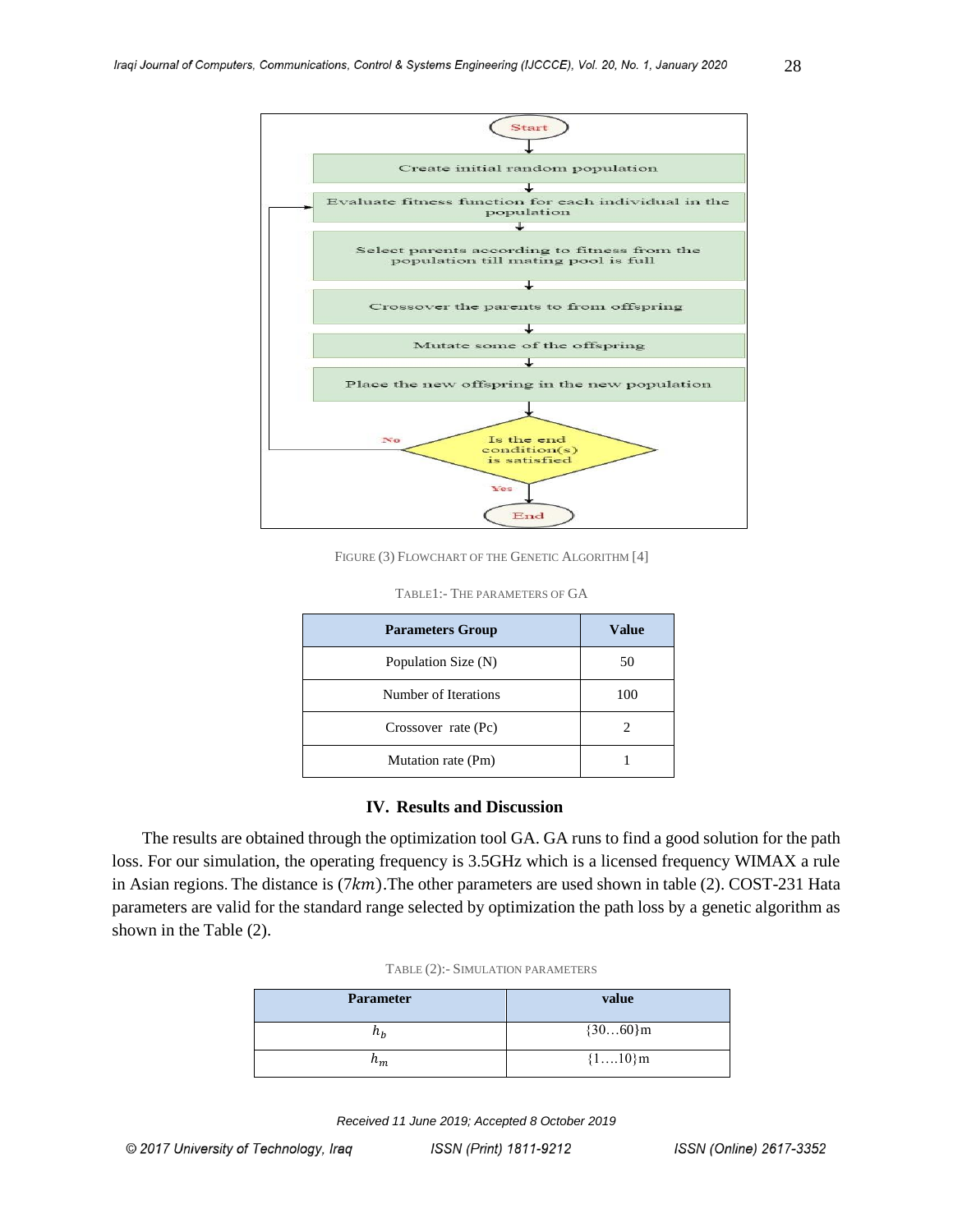

FIGURE (3) FLOWCHART OF THE GENETIC ALGORITHM [4]

| <b>Parameters Group</b> | <b>Value</b> |
|-------------------------|--------------|
| Population Size (N)     | 50           |
| Number of Iterations    | 100          |
| Crossover rate (Pc)     |              |
| Mutation rate (Pm)      |              |

#### **IV. Results and Discussion**

 The results are obtained through the optimization tool GA. GA runs to find a good solution for the path loss. For our simulation, the operating frequency is 3.5GHz which is a licensed frequency WIMAX a rule in Asian regions. The distance is  $(7km)$ . The other parameters are used shown in table (2). COST-231 Hata parameters are valid for the standard range selected by optimization the path loss by a genetic algorithm as shown in the Table (2).

| <b>Parameter</b> | value      |
|------------------|------------|
| $n_h$            | ${3060}$ m |
| $n_m$            | ${110}m$   |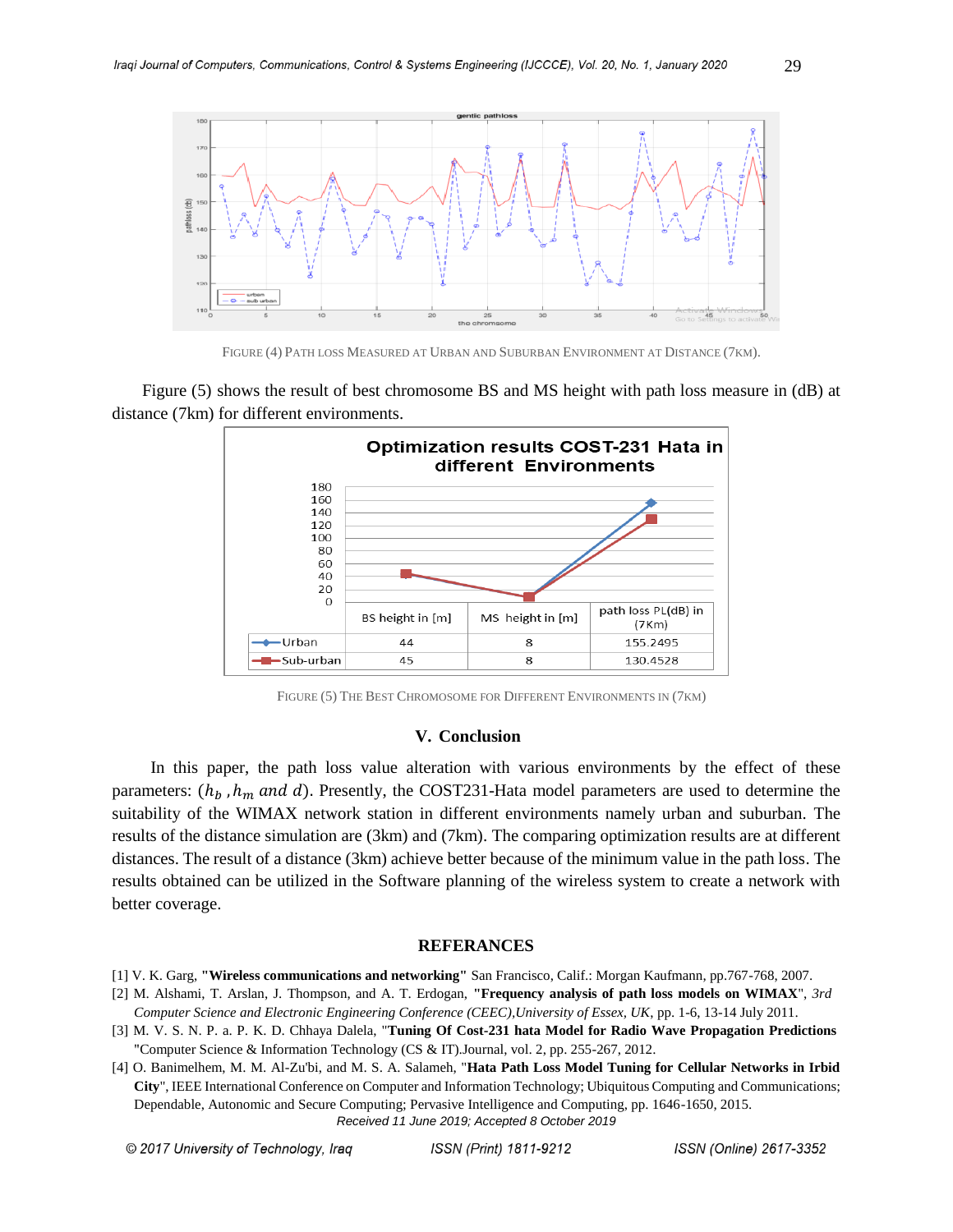

FIGURE (4) PATH LOSS MEASURED AT URBAN AND SUBURBAN ENVIRONMENT AT DISTANCE (7KM).

 Figure (5) shows the result of best chromosome BS and MS height with path loss measure in (dB) at distance (7km) for different environments.



FIGURE (5) THE BEST CHROMOSOME FOR DIFFERENT ENVIRONMENTS IN (7KM)

#### **V. Conclusion**

 In this paper, the path loss value alteration with various environments by the effect of these parameters:  $(h_b, h_m \text{ and } d)$ . Presently, the COST231-Hata model parameters are used to determine the suitability of the WIMAX network station in different environments namely urban and suburban. The results of the distance simulation are (3km) and (7km). The comparing optimization results are at different distances. The result of a distance (3km) achieve better because of the minimum value in the path loss. The results obtained can be utilized in the Software planning of the wireless system to create a network with better coverage.

#### **REFERANCES**

- [1] V. K. Garg, **"Wireless communications and networking"** San Francisco, Calif.: Morgan Kaufmann, pp.767-768, 2007.
- [2] M. Alshami, T. Arslan, J. Thompson, and A. T. Erdogan, **"Frequency analysis of path loss models on WIMAX**", *3rd Computer Science and Electronic Engineering Conference (CEEC),University of Essex, UK*, pp. 1-6, 13-14 July 2011.
- [3] M. V. S. N. P. a. P. K. D. Chhaya Dalela, "**Tuning Of Cost-231 hata Model for Radio Wave Propagation Predictions** "Computer Science & Information Technology (CS & IT).Journal, vol. 2, pp. 255-267, 2012.
- *Received 11 June 2019; Accepted 8 October 2019* [4] O. Banimelhem, M. M. Al-Zu'bi, and M. S. A. Salameh, "**Hata Path Loss Model Tuning for Cellular Networks in Irbid City**", IEEE International Conference on Computer and Information Technology; Ubiquitous Computing and Communications; Dependable, Autonomic and Secure Computing; Pervasive Intelligence and Computing, pp. 1646-1650, 2015.

© 2017 University of Technology, Iraq